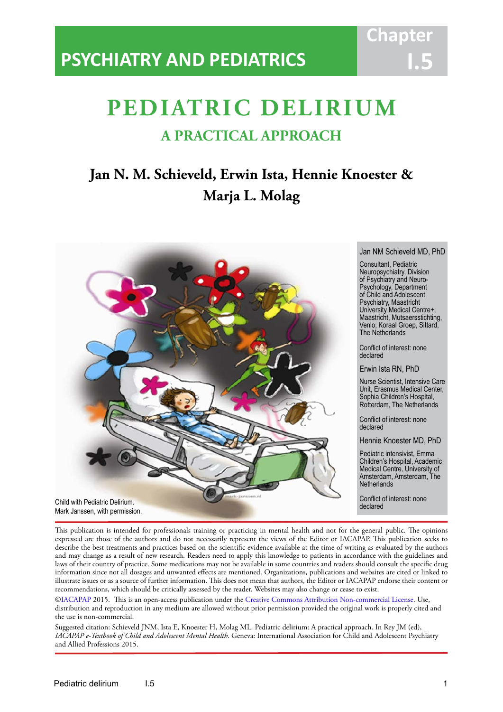# **PSYCHIATRY AND PEDIATRICS**

# **PEDIATRIC DELIRIUM A PRACTICAL APPROACH**

IACAPAP Textbook of Child and Adolescent Mental Health

# **Jan N. M. Schieveld, Erwin Ista, Hennie Knoester & Marja L. Molag**



Jan NM Schieveld MD, PhD

**Chapt** 

**I.5**

Consultant, Pediatric Neuropsychiatry, Division of Psychiatry and Neuro-Psychology, Department of Child and Adolescent Psychiatry, Maastricht University Medical Centre+, Maastricht, Mutsaersstichting, Venlo; Koraal Groep, Sittard, The Netherlands

Conflict of interest: none declared

Erwin Ista RN, PhD

Nurse Scientist, Intensive Care Unit, Erasmus Medical Center, Sophia Children's Hospital, Rotterdam, The Netherlands

Conflict of interest: none declared

Hennie Knoester MD, PhD

Pediatric intensivist, Emma Children's Hospital, Academic Medical Centre, University of Amsterdam, Amsterdam, The **Netherlands** 

Conflict of interest: none<br>declared

This publication is intended for professionals training or practicing in mental health and not for the general public. The opinions expressed are those of the authors and do not necessarily represent the views of the Editor or IACAPAP. This publication seeks to describe the best treatments and practices based on the scientific evidence available at the time of writing as evaluated by the authors and may change as a result of new research. Readers need to apply this knowledge to patients in accordance with the guidelines and laws of their country of practice. Some medications may not be available in some countries and readers should consult the specific drug information since not all dosages and unwanted effects are mentioned. Organizations, publications and websites are cited or linked to illustrate issues or as a source of further information. This does not mean that authors, the Editor or IACAPAP endorse their content or recommendations, which should be critically assessed by the reader. Websites may also change or cease to exist.

[©IACAPAP](http://iacapap.org/) 2015. This is an open-access publication under the [Creative Commons Attribution Non-commercial License](http://creativecommons.org/licenses/by-nc/2.0/). Use, distribution and reproduction in any medium are allowed without prior permission provided the original work is properly cited and the use is non-commercial.

Suggested citation: Schieveld JNM, Ista E, Knoester H, Molag ML. Pediatric delirium: A practical approach. In Rey JM (ed), *IACAPAP e-Textbook of Child and Adolescent Mental Health*. Geneva: International Association for Child and Adolescent Psychiatry and Allied Professions 2015.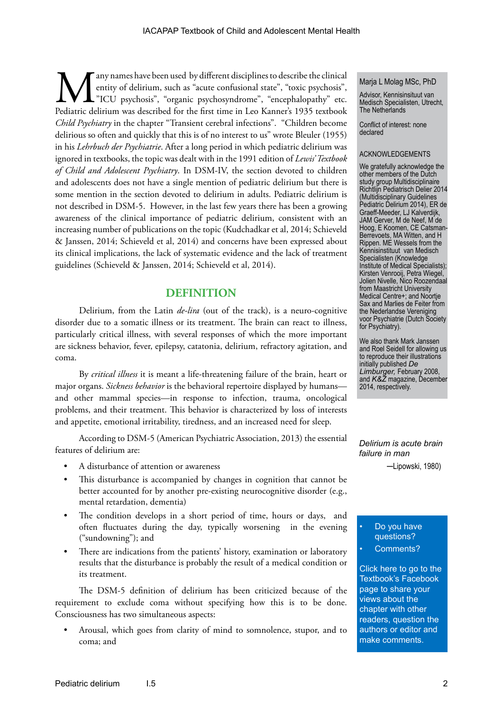Many names have been used by different disciplines to describe the clinical<br>entity of delirium, such as "acute confusional state", "toxic psychosis",<br>"ICU psychosis", "organic psychosyndrome", "encephalopathy" etc.<br>Pediatr entity of delirium, such as "acute confusional state", "toxic psychosis", "ICU psychosis", "organic psychosyndrome", "encephalopathy" etc. Pediatric delirium was described for the first time in Leo Kanner's 1935 textbook *Child Psychiatry* in the chapter "Transient cerebral infections". "Children become delirious so often and quickly that this is of no interest to us" wrote Bleuler (1955) in his *Lehrbuch der Psychiatrie*. After a long period in which pediatric delirium was ignored in textbooks, the topic was dealt with in the 1991 edition of *Lewis' Textbook of Child and Adolescent Psychiatry*. In DSM-IV, the section devoted to children and adolescents does not have a single mention of pediatric delirium but there is some mention in the section devoted to delirium in adults. Pediatric delirium is not described in DSM-5. However, in the last few years there has been a growing awareness of the clinical importance of pediatric delirium, consistent with an increasing number of publications on the topic (Kudchadkar et al, 2014; Schieveld & Janssen, 2014; Schieveld et al, 2014) and concerns have been expressed about its clinical implications, the lack of systematic evidence and the lack of treatment guidelines (Schieveld & Janssen, 2014; Schieveld et al, 2014).

# **DEFINITION**

Delirium, from the Latin *de-lira* (out of the track), is a neuro-cognitive disorder due to a somatic illness or its treatment. The brain can react to illness, particularly critical illness, with several responses of which the more important are sickness behavior, fever, epilepsy, catatonia, delirium, refractory agitation, and coma.

By *critical illness* it is meant a life-threatening failure of the brain, heart or major organs. *Sickness behavior* is the behavioral repertoire displayed by humans and other mammal species—in response to infection, trauma, oncological problems, and their treatment. This behavior is characterized by loss of interests and appetite, emotional irritability, tiredness, and an increased need for sleep.

According to DSM-5 (American Psychiatric Association, 2013) the essential features of delirium are:

- A disturbance of attention or awareness
- This disturbance is accompanied by changes in cognition that cannot be better accounted for by another pre-existing neurocognitive disorder (e.g., mental retardation, dementia)
- The condition develops in a short period of time, hours or days, and often fluctuates during the day, typically worsening in the evening ("sundowning"); and
- There are indications from the patients' history, examination or laboratory results that the disturbance is probably the result of a medical condition or its treatment.

The DSM-5 definition of delirium has been criticized because of the requirement to exclude coma without specifying how this is to be done. Consciousness has two simultaneous aspects:

• Arousal, which goes from clarity of mind to somnolence, stupor, and to coma; and

#### Marja L Molag MSc, PhD

Advisor, Kennisinsituut van Medisch Specialisten, Utrecht, The Netherlands

Conflict of interest: none declared

#### ACKNOWLEDGEMENTS

We gratefully acknowledge the other members of the Dutch study group Multidisciplinaire Richtlijn Pediatrisch Delier 2014 (Multidisciplinary Guidelines Pediatric Delirium 2014), ER de Graeff-Meeder, LJ Kalverdijk, JAM Gerver, M de Neef, M de Hoog, E Koomen, CE Catsman-Berrevoets, MA Witten, and H Rippen. ME Wessels from the Kennisinstituut van Medisch Specialisten (Knowledge Institute of Medical Specialists); Kirsten Venrooij, Petra Wiegel, Jolien Nivelle, Nico Roozendaal from Maastricht University Medical Centre+; and Noortje Sax and Marlies de Feiter from the Nederlandse Vereniging voor Psychiatrie (Dutch Society for Psychiatry).

We also thank Mark Janssen and Roel Seidell for allowing us to reproduce their illustrations initially published *De Limburger,* February 2008, and *K&Z* magazine, December 2014, respectively.

*Delirium is acute brain failure in man*

─Lipowski, 1980)

#### Do you have questions? Comments?

[Click here to go to the](https://www.facebook.com/pages/IACAPAP-Textbook-of-Child-and-Adolescent-Mental-Health/249690448525378)  Textbook's Facebook page to share your views about the chapter with other readers, question the authors or editor and make comments.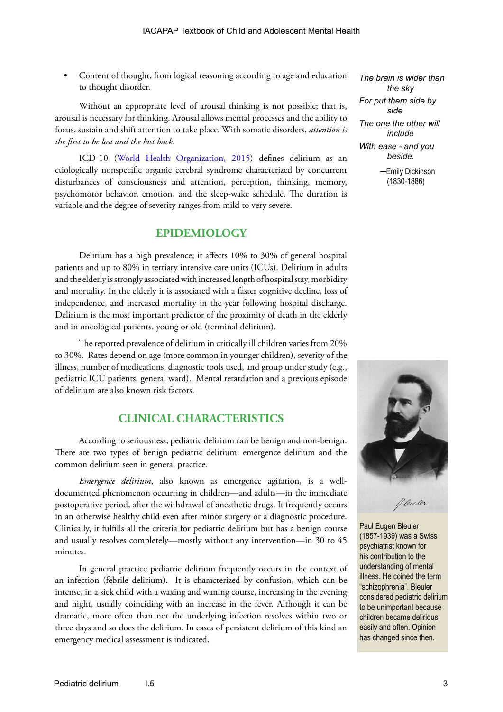• Content of thought, from logical reasoning according to age and education to thought disorder.

Without an appropriate level of arousal thinking is not possible; that is, arousal is necessary for thinking. Arousal allows mental processes and the ability to focus, sustain and shift attention to take place. With somatic disorders, *attention is the first to be lost and the last back*.

ICD-10 [\(World Health Organization, 2015](http://apps.who.int/classifications/icd10/browse/2015/en#/F00-F09)) defines delirium as an etiologically nonspecific organic cerebral syndrome characterized by concurrent disturbances of consciousness and attention, perception, thinking, memory, psychomotor behavior, emotion, and the sleep-wake schedule. The duration is variable and the degree of severity ranges from mild to very severe.

# **EPIDEMIOLOGY**

Delirium has a high prevalence; it affects 10% to 30% of general hospital patients and up to 80% in tertiary intensive care units (ICUs). Delirium in adults and the elderly is strongly associated with increased length of hospital stay, morbidity and mortality. In the elderly it is associated with a faster cognitive decline, loss of independence, and increased mortality in the year following hospital discharge. Delirium is the most important predictor of the proximity of death in the elderly and in oncological patients, young or old (terminal delirium).

The reported prevalence of delirium in critically ill children varies from 20% to 30%. Rates depend on age (more common in younger children), severity of the illness, number of medications, diagnostic tools used, and group under study (e.g., pediatric ICU patients, general ward). Mental retardation and a previous episode of delirium are also known risk factors.

# **CLINICAL CHARACTERISTICS**

According to seriousness, pediatric delirium can be benign and non-benign. There are two types of benign pediatric delirium: emergence delirium and the common delirium seen in general practice.

*Emergence delirium*, also known as emergence agitation, is a welldocumented phenomenon occurring in children—and adults—in the immediate postoperative period, after the withdrawal of anesthetic drugs. It frequently occurs in an otherwise healthy child even after minor surgery or a diagnostic procedure. Clinically, it fulfills all the criteria for pediatric delirium but has a benign course and usually resolves completely—mostly without any intervention—in 30 to 45 minutes.

In general practice pediatric delirium frequently occurs in the context of an infection (febrile delirium). It is characterized by confusion, which can be intense, in a sick child with a waxing and waning course, increasing in the evening and night, usually coinciding with an increase in the fever. Although it can be dramatic, more often than not the underlying infection resolves within two or three days and so does the delirium. In cases of persistent delirium of this kind an emergency medical assessment is indicated.

*The brain is wider than the sky For put them side by side The one the other will include With ease - and you beside.* ─Emily Dickinson (1830-1886)



Paul Eugen Bleuler (1857-1939) was a Swiss psychiatrist known for his contribution to the understanding of mental illness. He coined the term "schizophrenia". Bleuler considered pediatric delirium to be unimportant because children became delirious easily and often. Opinion has changed since then.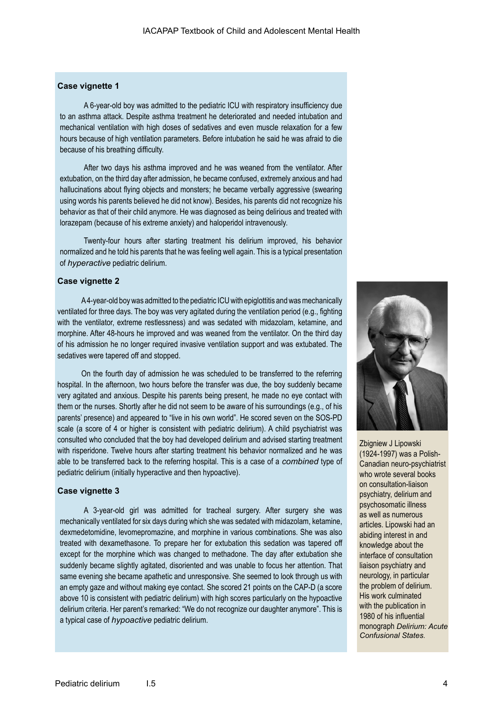#### **Case vignette 1**

A 6-year-old boy was admitted to the pediatric ICU with respiratory insufficiency due to an asthma attack. Despite asthma treatment he deteriorated and needed intubation and mechanical ventilation with high doses of sedatives and even muscle relaxation for a few hours because of high ventilation parameters. Before intubation he said he was afraid to die because of his breathing difficulty.

After two days his asthma improved and he was weaned from the ventilator. After extubation, on the third day after admission, he became confused, extremely anxious and had hallucinations about flying objects and monsters; he became verbally aggressive (swearing using words his parents believed he did not know). Besides, his parents did not recognize his behavior as that of their child anymore. He was diagnosed as being delirious and treated with lorazepam (because of his extreme anxiety) and haloperidol intravenously.

Twenty-four hours after starting treatment his delirium improved, his behavior normalized and he told his parents that he was feeling well again. This is a typical presentation of *hyperactive* pediatric delirium.

#### **Case vignette 2**

A 4-year-old boy was admitted to the pediatric ICU with epiglottitis and was mechanically ventilated for three days. The boy was very agitated during the ventilation period (e.g., fighting with the ventilator, extreme restlessness) and was sedated with midazolam, ketamine, and morphine. After 48-hours he improved and was weaned from the ventilator. On the third day of his admission he no longer required invasive ventilation support and was extubated. The sedatives were tapered off and stopped.

On the fourth day of admission he was scheduled to be transferred to the referring hospital. In the afternoon, two hours before the transfer was due, the boy suddenly became very agitated and anxious. Despite his parents being present, he made no eye contact with them or the nurses. Shortly after he did not seem to be aware of his surroundings (e.g., of his parents' presence) and appeared to "live in his own world". He scored seven on the SOS-PD scale (a score of 4 or higher is consistent with pediatric delirium). A child psychiatrist was consulted who concluded that the boy had developed delirium and advised starting treatment with risperidone. Twelve hours after starting treatment his behavior normalized and he was able to be transferred back to the referring hospital. This is a case of a *combined* type of pediatric delirium (initially hyperactive and then hypoactive).

#### **Case vignette 3**

A 3-year-old girl was admitted for tracheal surgery. After surgery she was mechanically ventilated for six days during which she was sedated with midazolam, ketamine, dexmedetomidine, levomepromazine, and morphine in various combinations. She was also treated with dexamethasone. To prepare her for extubation this sedation was tapered off except for the morphine which was changed to methadone. The day after extubation she suddenly became slightly agitated, disoriented and was unable to focus her attention. That same evening she became apathetic and unresponsive. She seemed to look through us with an empty gaze and without making eye contact. She scored 21 points on the CAP-D (a score above 10 is consistent with pediatric delirium) with high scores particularly on the hypoactive delirium criteria. Her parent's remarked: "We do not recognize our daughter anymore". This is a typical case of *hypoactive* pediatric delirium.



Zbigniew J Lipowski (1924-1997) was a Polish-Canadian neuro-psychiatrist who wrote several books on consultation-liaison psychiatry, delirium and psychosomatic illness as well as numerous articles. Lipowski had an abiding interest in and knowledge about the interface of consultation liaison psychiatry and neurology, in particular the problem of delirium. His work culminated with the publication in 1980 of his influential monograph *Delirium: Acute Confusional States*.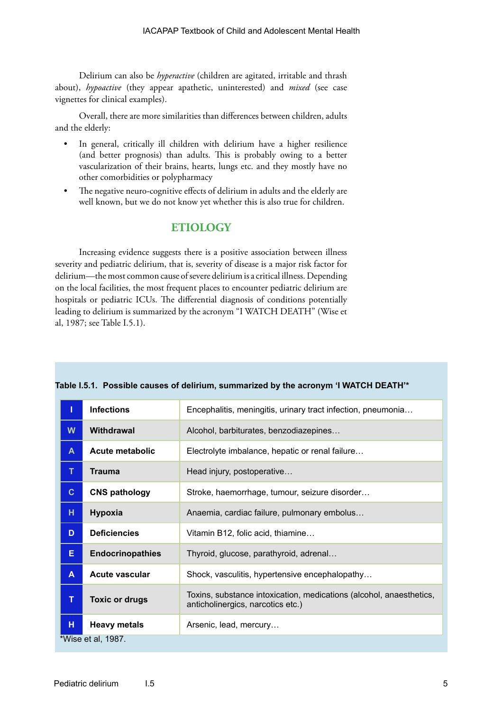Delirium can also be *hyperactive* (children are agitated, irritable and thrash about), *hypoactive* (they appear apathetic, uninterested) and *mixed* (see case vignettes for clinical examples).

Overall, there are more similarities than differences between children, adults and the elderly:

- In general, critically ill children with delirium have a higher resilience (and better prognosis) than adults. This is probably owing to a better vascularization of their brains, hearts, lungs etc. and they mostly have no other comorbidities or polypharmacy
- The negative neuro-cognitive effects of delirium in adults and the elderly are well known, but we do not know yet whether this is also true for children.

# **ETIOLOGY**

Increasing evidence suggests there is a positive association between illness severity and pediatric delirium, that is, severity of disease is a major risk factor for delirium—the most common cause of severe delirium is a critical illness. Depending on the local facilities, the most frequent places to encounter pediatric delirium are hospitals or pediatric ICUs. The differential diagnosis of conditions potentially leading to delirium is summarized by the acronym "I WATCH DEATH" (Wise et al, 1987; see Table I.5.1).

|                    | <b>Infections</b>       | Encephalitis, meningitis, urinary tract infection, pneumonia                                             |
|--------------------|-------------------------|----------------------------------------------------------------------------------------------------------|
| W                  | Withdrawal              | Alcohol, barbiturates, benzodiazepines                                                                   |
| A                  | Acute metabolic         | Electrolyte imbalance, hepatic or renal failure                                                          |
| т                  | <b>Trauma</b>           | Head injury, postoperative                                                                               |
| $\mathbf{C}$       | <b>CNS pathology</b>    | Stroke, haemorrhage, tumour, seizure disorder                                                            |
| н                  | Hypoxia                 | Anaemia, cardiac failure, pulmonary embolus                                                              |
| D                  | <b>Deficiencies</b>     | Vitamin B12, folic acid, thiamine                                                                        |
| Е                  | <b>Endocrinopathies</b> | Thyroid, glucose, parathyroid, adrenal                                                                   |
| A                  | <b>Acute vascular</b>   | Shock, vasculitis, hypertensive encephalopathy                                                           |
| т                  | <b>Toxic or drugs</b>   | Toxins, substance intoxication, medications (alcohol, anaesthetics,<br>anticholinergics, narcotics etc.) |
| н                  | <b>Heavy metals</b>     | Arsenic, lead, mercury                                                                                   |
| *Wise et al, 1987. |                         |                                                                                                          |

#### **Table I.5.1. Possible causes of delirium, summarized by the acronym 'I WATCH DEATH'\***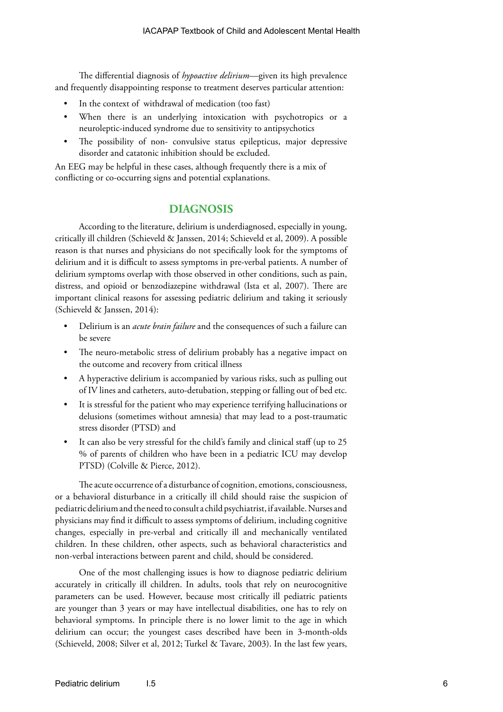The differential diagnosis of *hypoactive delirium*—given its high prevalence and frequently disappointing response to treatment deserves particular attention:

- In the context of withdrawal of medication (too fast)
- When there is an underlying intoxication with psychotropics or a neuroleptic-induced syndrome due to sensitivity to antipsychotics
- The possibility of non- convulsive status epilepticus, major depressive disorder and catatonic inhibition should be excluded.

An EEG may be helpful in these cases, although frequently there is a mix of conflicting or co-occurring signs and potential explanations.

# **DIAGNOSIS**

According to the literature, delirium is underdiagnosed, especially in young, critically ill children (Schieveld & Janssen, 2014; Schieveld et al, 2009). A possible reason is that nurses and physicians do not specifically look for the symptoms of delirium and it is difficult to assess symptoms in pre-verbal patients. A number of delirium symptoms overlap with those observed in other conditions, such as pain, distress, and opioid or benzodiazepine withdrawal (Ista et al, 2007). There are important clinical reasons for assessing pediatric delirium and taking it seriously (Schieveld & Janssen, 2014):

- Delirium is an *acute brain failure* and the consequences of such a failure can be severe
- The neuro-metabolic stress of delirium probably has a negative impact on the outcome and recovery from critical illness
- A hyperactive delirium is accompanied by various risks, such as pulling out of IV lines and catheters, auto-detubation, stepping or falling out of bed etc.
- It is stressful for the patient who may experience terrifying hallucinations or delusions (sometimes without amnesia) that may lead to a post-traumatic stress disorder (PTSD) and
- It can also be very stressful for the child's family and clinical staff (up to 25) % of parents of children who have been in a pediatric ICU may develop PTSD) (Colville & Pierce, 2012).

The acute occurrence of a disturbance of cognition, emotions, consciousness, or a behavioral disturbance in a critically ill child should raise the suspicion of pediatric delirium and the need to consult a child psychiatrist, if available. Nurses and physicians may find it difficult to assess symptoms of delirium, including cognitive changes, especially in pre-verbal and critically ill and mechanically ventilated children. In these children, other aspects, such as behavioral characteristics and non-verbal interactions between parent and child, should be considered.

One of the most challenging issues is how to diagnose pediatric delirium accurately in critically ill children. In adults, tools that rely on neurocognitive parameters can be used. However, because most critically ill pediatric patients are younger than 3 years or may have intellectual disabilities, one has to rely on behavioral symptoms. In principle there is no lower limit to the age in which delirium can occur; the youngest cases described have been in 3-month-olds (Schieveld, 2008; Silver et al, 2012; Turkel & Tavare, 2003). In the last few years,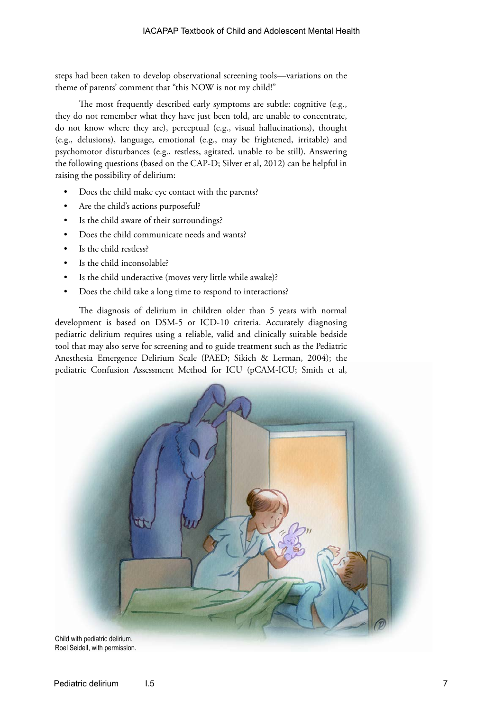steps had been taken to develop observational screening tools—variations on the theme of parents' comment that "this NOW is not my child!"

The most frequently described early symptoms are subtle: cognitive (e.g., they do not remember what they have just been told, are unable to concentrate, do not know where they are), perceptual (e.g., visual hallucinations), thought (e.g., delusions), language, emotional (e.g., may be frightened, irritable) and psychomotor disturbances (e.g., restless, agitated, unable to be still). Answering the following questions (based on the CAP-D; Silver et al, 2012) can be helpful in raising the possibility of delirium:

- Does the child make eye contact with the parents?
- Are the child's actions purposeful?
- Is the child aware of their surroundings?
- Does the child communicate needs and wants?
- Is the child restless?
- Is the child inconsolable?
- Is the child underactive (moves very little while awake)?
- Does the child take a long time to respond to interactions?

The diagnosis of delirium in children older than 5 years with normal development is based on DSM-5 or ICD-10 criteria. Accurately diagnosing pediatric delirium requires using a reliable, valid and clinically suitable bedside tool that may also serve for screening and to guide treatment such as the Pediatric Anesthesia Emergence Delirium Scale (PAED; Sikich & Lerman, 2004); the pediatric Confusion Assessment Method for ICU (pCAM-ICU; Smith et al,



Roel Seidell, with permission.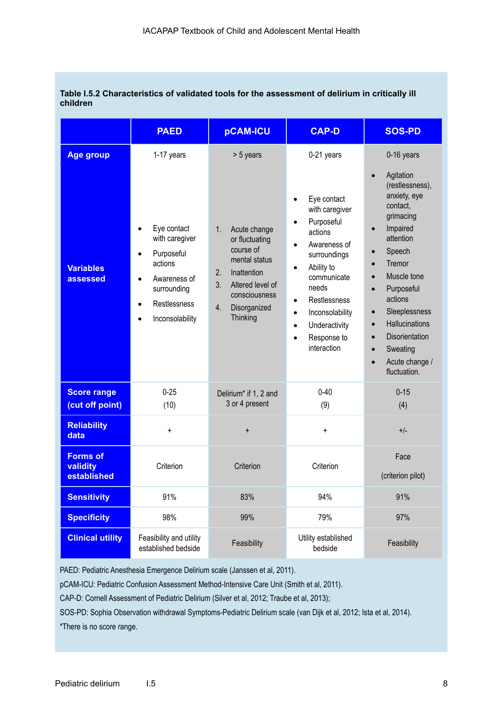#### **Table I.5.2 Characteristics of validated tools for the assessment of delirium in critically ill children**

|                                                  | <b>PAED</b>                                                                                                                            | pCAM-ICU                                                                                                                                                                          | <b>CAP-D</b>                                                                                                                                                                                                                                                                                               | <b>SOS-PD</b>                                                                                                                                                                                                                                                                                                                          |
|--------------------------------------------------|----------------------------------------------------------------------------------------------------------------------------------------|-----------------------------------------------------------------------------------------------------------------------------------------------------------------------------------|------------------------------------------------------------------------------------------------------------------------------------------------------------------------------------------------------------------------------------------------------------------------------------------------------------|----------------------------------------------------------------------------------------------------------------------------------------------------------------------------------------------------------------------------------------------------------------------------------------------------------------------------------------|
| <b>Age group</b><br><b>Variables</b><br>assessed | 1-17 years<br>Eye contact<br>with caregiver<br>Purposeful<br>actions<br>Awareness of<br>surrounding<br>Restlessness<br>Inconsolability | > 5 years<br>1.<br>Acute change<br>or fluctuating<br>course of<br>mental status<br>2.<br>Inattention<br>3.<br>Altered level of<br>consciousness<br>4.<br>Disorganized<br>Thinking | 0-21 years<br>Eye contact<br>$\bullet$<br>with caregiver<br>Purposeful<br>$\bullet$<br>actions<br>Awareness of<br>surroundings<br>Ability to<br>communicate<br>needs<br>Restlessness<br>$\bullet$<br>Inconsolability<br>$\bullet$<br>Underactivity<br>$\bullet$<br>Response to<br>$\bullet$<br>interaction | 0-16 years<br>Agitation<br>(restlessness),<br>anxiety, eye<br>contact,<br>grimacing<br>Impaired<br>attention<br>Speech<br>Tremor<br>Muscle tone<br>Purposeful<br>actions<br>Sleeplessness<br>$\bullet$<br>Hallucinations<br>$\bullet$<br><b>Disorientation</b><br>$\bullet$<br>Sweating<br>Acute change /<br>$\bullet$<br>fluctuation. |
| <b>Score range</b><br>(cut off point)            | $0 - 25$<br>(10)                                                                                                                       | Delirium* if 1, 2 and<br>3 or 4 present                                                                                                                                           | $0 - 40$<br>(9)                                                                                                                                                                                                                                                                                            | $0 - 15$<br>(4)                                                                                                                                                                                                                                                                                                                        |
| <b>Reliability</b><br>data                       | $\ddot{}$                                                                                                                              | $\ddot{}$                                                                                                                                                                         | $\ddot{}$                                                                                                                                                                                                                                                                                                  | $+/-$                                                                                                                                                                                                                                                                                                                                  |
| <b>Forms of</b><br>validity<br>established       | Criterion                                                                                                                              | Criterion                                                                                                                                                                         | Criterion                                                                                                                                                                                                                                                                                                  | Face<br>(criterion pilot)                                                                                                                                                                                                                                                                                                              |
| <b>Sensitivity</b>                               | 91%                                                                                                                                    | 83%                                                                                                                                                                               | 94%                                                                                                                                                                                                                                                                                                        | 91%                                                                                                                                                                                                                                                                                                                                    |
| <b>Specificity</b>                               | 98%                                                                                                                                    | 99%                                                                                                                                                                               | 79%                                                                                                                                                                                                                                                                                                        | 97%                                                                                                                                                                                                                                                                                                                                    |
| <b>Clinical utility</b>                          | Feasibility and utility<br>established bedside                                                                                         | Feasibility                                                                                                                                                                       | Utility established<br>bedside                                                                                                                                                                                                                                                                             | Feasibility                                                                                                                                                                                                                                                                                                                            |

PAED: Pediatric Anesthesia Emergence Delirium scale (Janssen et al, 2011).

pCAM-ICU: Pediatric Confusion Assessment Method-Intensive Care Unit (Smith et al, 2011).

CAP-D: Cornell Assessment of Pediatric Delirium (Silver et al, 2012; Traube et al, 2013);

SOS-PD: Sophia Observation withdrawal Symptoms-Pediatric Delirium scale (van Dijk et al, 2012; Ista et al, 2014).

\*There is no score range.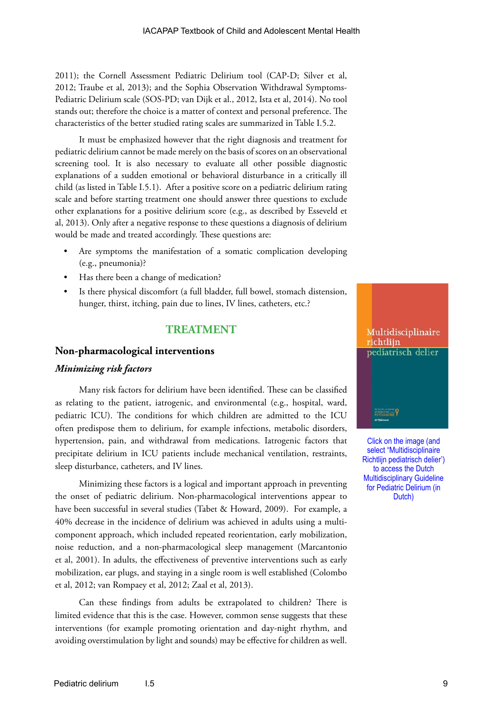2011); the Cornell Assessment Pediatric Delirium tool (CAP-D; Silver et al, 2012; Traube et al, 2013); and the Sophia Observation Withdrawal Symptoms-Pediatric Delirium scale (SOS-PD; van Dijk et al., 2012, Ista et al, 2014). No tool stands out; therefore the choice is a matter of context and personal preference. The characteristics of the better studied rating scales are summarized in Table I.5.2.

It must be emphasized however that the right diagnosis and treatment for pediatric delirium cannot be made merely on the basis of scores on an observational screening tool. It is also necessary to evaluate all other possible diagnostic explanations of a sudden emotional or behavioral disturbance in a critically ill child (as listed in Table I.5.1). After a positive score on a pediatric delirium rating scale and before starting treatment one should answer three questions to exclude other explanations for a positive delirium score (e.g., as described by Esseveld et al, 2013). Only after a negative response to these questions a diagnosis of delirium would be made and treated accordingly. These questions are:

- Are symptoms the manifestation of a somatic complication developing (e.g., pneumonia)?
- Has there been a change of medication?
- Is there physical discomfort (a full bladder, full bowel, stomach distension, hunger, thirst, itching, pain due to lines, IV lines, catheters, etc.?

## **TREATMENT**

#### **Non-pharmacological interventions**

#### *Minimizing risk factors*

Many risk factors for delirium have been identified. These can be classified as relating to the patient, iatrogenic, and environmental (e.g., hospital, ward, pediatric ICU). The conditions for which children are admitted to the ICU often predispose them to delirium, for example infections, metabolic disorders, hypertension, pain, and withdrawal from medications. Iatrogenic factors that precipitate delirium in ICU patients include mechanical ventilation, restraints, sleep disturbance, catheters, and IV lines.

Minimizing these factors is a logical and important approach in preventing the onset of pediatric delirium. Non-pharmacological interventions appear to have been successful in several studies (Tabet & Howard, 2009). For example, a 40% decrease in the incidence of delirium was achieved in adults using a multicomponent approach, which included repeated reorientation, early mobilization, noise reduction, and a non-pharmacological sleep management (Marcantonio et al, 2001). In adults, the effectiveness of preventive interventions such as early mobilization, ear plugs, and staying in a single room is well established (Colombo et al, 2012; van Rompaey et al, 2012; Zaal et al, 2013).

Can these findings from adults be extrapolated to children? There is limited evidence that this is the case. However, common sense suggests that these interventions (for example promoting orientation and day-night rhythm, and avoiding overstimulation by light and sounds) may be effective for children as well.



Click on the image (and select "Multidisciplinaire Richtlijn pediatrisch delier') to access the Dutch Multidisciplinary Guideline for Pediatric Delirium (in Dutch)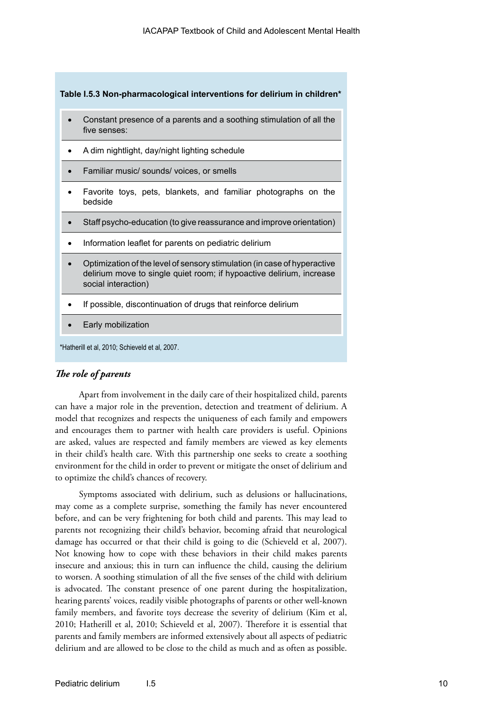**Table I.5.3 Non-pharmacological interventions for delirium in children\*** 

- Constant presence of a parents and a soothing stimulation of all the five senses:
- A dim nightlight, day/night lighting schedule
- Familiar music/ sounds/ voices, or smells
- Favorite toys, pets, blankets, and familiar photographs on the bedside
- Staff psycho-education (to give reassurance and improve orientation)
- Information leaflet for parents on pediatric delirium
- Optimization of the level of sensory stimulation (in case of hyperactive delirium move to single quiet room; if hypoactive delirium, increase social interaction)
- If possible, discontinuation of drugs that reinforce delirium
- **Early mobilization**

\*Hatherill et al, 2010; Schieveld et al, 2007.

#### *The role of parents*

Apart from involvement in the daily care of their hospitalized child, parents can have a major role in the prevention, detection and treatment of delirium. A model that recognizes and respects the uniqueness of each family and empowers and encourages them to partner with health care providers is useful. Opinions are asked, values are respected and family members are viewed as key elements in their child's health care. With this partnership one seeks to create a soothing environment for the child in order to prevent or mitigate the onset of delirium and to optimize the child's chances of recovery.

Symptoms associated with delirium, such as delusions or hallucinations, may come as a complete surprise, something the family has never encountered before, and can be very frightening for both child and parents. This may lead to parents not recognizing their child's behavior, becoming afraid that neurological damage has occurred or that their child is going to die (Schieveld et al, 2007). Not knowing how to cope with these behaviors in their child makes parents insecure and anxious; this in turn can influence the child, causing the delirium to worsen. A soothing stimulation of all the five senses of the child with delirium is advocated. The constant presence of one parent during the hospitalization, hearing parents' voices, readily visible photographs of parents or other well-known family members, and favorite toys decrease the severity of delirium (Kim et al, 2010; Hatherill et al, 2010; Schieveld et al, 2007). Therefore it is essential that parents and family members are informed extensively about all aspects of pediatric delirium and are allowed to be close to the child as much and as often as possible.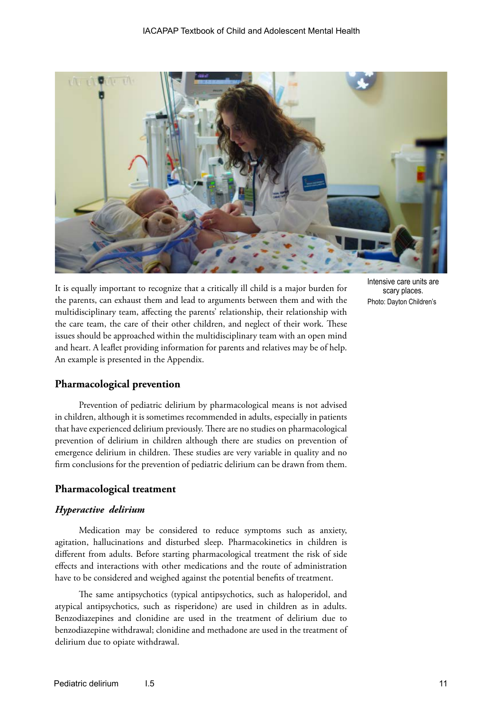

It is equally important to recognize that a critically ill child is a major burden for the parents, can exhaust them and lead to arguments between them and with the multidisciplinary team, affecting the parents' relationship, their relationship with the care team, the care of their other children, and neglect of their work. These issues should be approached within the multidisciplinary team with an open mind and heart. A leaflet providing information for parents and relatives may be of help. An example is presented in the Appendix.

Intensive care units are scary places. Photo: Dayton Children's

# **Pharmacological prevention**

Prevention of pediatric delirium by pharmacological means is not advised in children, although it is sometimes recommended in adults, especially in patients that have experienced delirium previously. There are no studies on pharmacological prevention of delirium in children although there are studies on prevention of emergence delirium in children. These studies are very variable in quality and no firm conclusions for the prevention of pediatric delirium can be drawn from them.

## **Pharmacological treatment**

#### *Hyperactive delirium*

Medication may be considered to reduce symptoms such as anxiety, agitation, hallucinations and disturbed sleep. Pharmacokinetics in children is different from adults. Before starting pharmacological treatment the risk of side effects and interactions with other medications and the route of administration have to be considered and weighed against the potential benefits of treatment.

The same antipsychotics (typical antipsychotics, such as haloperidol, and atypical antipsychotics, such as risperidone) are used in children as in adults. Benzodiazepines and clonidine are used in the treatment of delirium due to benzodiazepine withdrawal; clonidine and methadone are used in the treatment of delirium due to opiate withdrawal.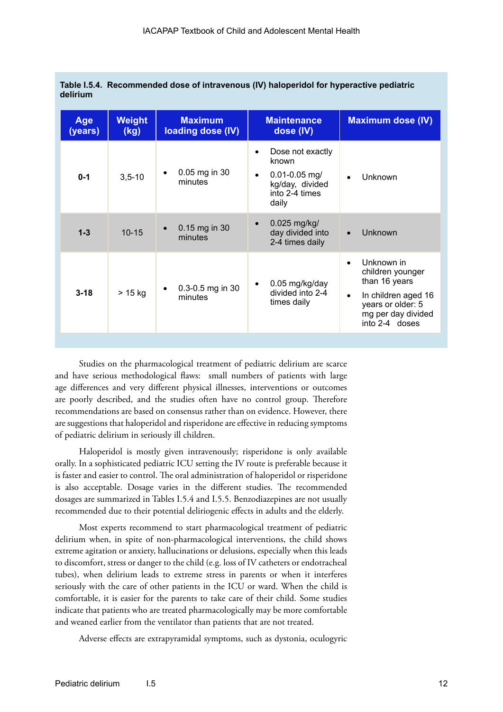| Age<br>(years) | Weight<br>(kg) | <b>Maximum</b><br>loading dose (IV) | <b>Maintenance</b><br>dose (IV)                                                                           | <b>Maximum dose (IV)</b>                                                                                                                                      |
|----------------|----------------|-------------------------------------|-----------------------------------------------------------------------------------------------------------|---------------------------------------------------------------------------------------------------------------------------------------------------------------|
| $0 - 1$        | $3,5 - 10$     | 0.05 mg in 30<br>minutes            | Dose not exactly<br>known<br>$0.01 - 0.05$ mg/<br>$\bullet$<br>kg/day, divided<br>into 2-4 times<br>daily | Unknown<br>$\bullet$                                                                                                                                          |
| $1 - 3$        | $10 - 15$      | 0.15 mg in 30<br>minutes            | 0.025 mg/kg/<br>$\bullet$<br>day divided into<br>2-4 times daily                                          | Unknown<br>$\bullet$                                                                                                                                          |
| $3 - 18$       | $> 15$ kg      | 0.3-0.5 mg in 30<br>minutes         | 0.05 mg/kg/day<br>divided into 2-4<br>times daily                                                         | Unknown in<br>$\bullet$<br>children younger<br>than 16 years<br>In children aged 16<br>$\bullet$<br>years or older: 5<br>mg per day divided<br>into 2-4 doses |

|          | Table I.5.4. Recommended dose of intravenous (IV) haloperidol for hyperactive pediatric |
|----------|-----------------------------------------------------------------------------------------|
| delirium |                                                                                         |

Studies on the pharmacological treatment of pediatric delirium are scarce and have serious methodological flaws: small numbers of patients with large age differences and very different physical illnesses, interventions or outcomes are poorly described, and the studies often have no control group. Therefore recommendations are based on consensus rather than on evidence. However, there are suggestions that haloperidol and risperidone are effective in reducing symptoms of pediatric delirium in seriously ill children.

Haloperidol is mostly given intravenously; risperidone is only available orally. In a sophisticated pediatric ICU setting the IV route is preferable because it is faster and easier to control. The oral administration of haloperidol or risperidone is also acceptable. Dosage varies in the different studies. The recommended dosages are summarized in Tables I.5.4 and I.5.5. Benzodiazepines are not usually recommended due to their potential deliriogenic effects in adults and the elderly.

Most experts recommend to start pharmacological treatment of pediatric delirium when, in spite of non-pharmacological interventions, the child shows extreme agitation or anxiety, hallucinations or delusions, especially when this leads to discomfort, stress or danger to the child (e.g. loss of IV catheters or endotracheal tubes), when delirium leads to extreme stress in parents or when it interferes seriously with the care of other patients in the ICU or ward. When the child is comfortable, it is easier for the parents to take care of their child. Some studies indicate that patients who are treated pharmacologically may be more comfortable and weaned earlier from the ventilator than patients that are not treated.

Adverse effects are extrapyramidal symptoms, such as dystonia, oculogyric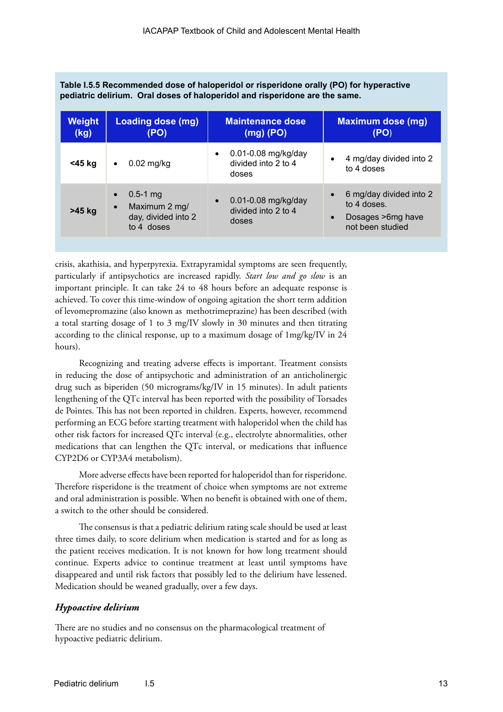| <b>Weight</b><br>(kg) | Loading dose (mg)<br>(PO)                                                                    | <b>Maintenance dose</b><br>$(mg)$ (PO)                           | <b>Maximum dose (mg)</b><br>(PO)                                                                           |
|-----------------------|----------------------------------------------------------------------------------------------|------------------------------------------------------------------|------------------------------------------------------------------------------------------------------------|
| <45 kg                | $0.02$ mg/kg<br>$\bullet$                                                                    | 0.01-0.08 mg/kg/day<br>$\bullet$<br>divided into 2 to 4<br>doses | 4 mg/day divided into 2<br>$\bullet$<br>to 4 doses                                                         |
| $>45$ kg              | $0.5 - 1$ mg<br>$\bullet$<br>Maximum 2 mg/<br>$\bullet$<br>day, divided into 2<br>to 4 doses | 0.01-0.08 mg/kg/day<br>$\bullet$<br>divided into 2 to 4<br>doses | 6 mg/day divided into 2<br>$\bullet$<br>to 4 doses.<br>Dosages > 6mg have<br>$\bullet$<br>not been studied |

**Table I.5.5 Recommended dose of haloperidol or risperidone orally (PO) for hyperactive pediatric delirium. Oral doses of haloperidol and risperidone are the same.**

crisis, akathisia, and hyperpyrexia. Extrapyramidal symptoms are seen frequently, particularly if antipsychotics are increased rapidly. *Start low and go slow* is an important principle. It can take 24 to 48 hours before an adequate response is achieved. To cover this time-window of ongoing agitation the short term addition of levomepromazine (also known as methotrimeprazine) has been described (with a total starting dosage of 1 to 3 mg/IV slowly in 30 minutes and then titrating according to the clinical response, up to a maximum dosage of 1mg/kg/IV in 24 hours).

Recognizing and treating adverse effects is important. Treatment consists in reducing the dose of antipsychotic and administration of an anticholinergic drug such as biperiden (50 micrograms/kg/IV in 15 minutes). In adult patients lengthening of the QTc interval has been reported with the possibility of Torsades de Pointes. This has not been reported in children. Experts, however, recommend performing an ECG before starting treatment with haloperidol when the child has other risk factors for increased QTc interval (e.g., electrolyte abnormalities, other medications that can lengthen the QTc interval, or medications that influence CYP2D6 or CYP3A4 metabolism).

More adverse effects have been reported for haloperidol than for risperidone. Therefore risperidone is the treatment of choice when symptoms are not extreme and oral administration is possible. When no benefit is obtained with one of them, a switch to the other should be considered.

The consensus is that a pediatric delirium rating scale should be used at least three times daily, to score delirium when medication is started and for as long as the patient receives medication. It is not known for how long treatment should continue. Experts advice to continue treatment at least until symptoms have disappeared and until risk factors that possibly led to the delirium have lessened. Medication should be weaned gradually, over a few days.

## *Hypoactive delirium*

There are no studies and no consensus on the pharmacological treatment of hypoactive pediatric delirium.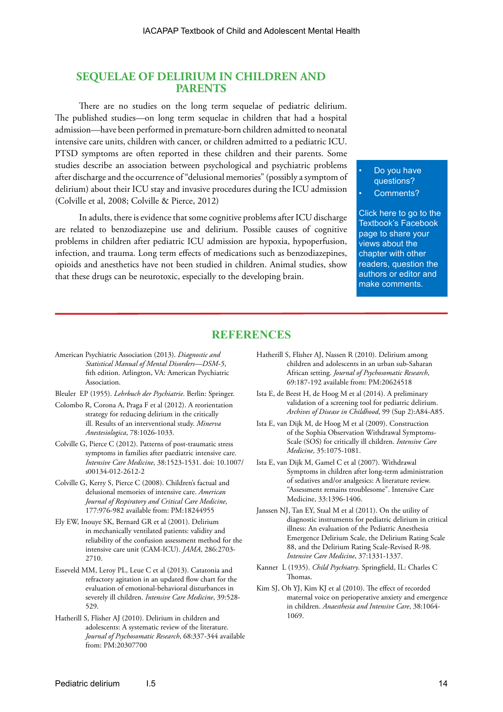## **SEQUELAE OF DELIRIUM IN CHILDREN AND PARENTS**

There are no studies on the long term sequelae of pediatric delirium. The published studies—on long term sequelae in children that had a hospital admission—have been performed in premature-born children admitted to neonatal intensive care units, children with cancer, or children admitted to a pediatric ICU. PTSD symptoms are often reported in these children and their parents. Some studies describe an association between psychological and psychiatric problems after discharge and the occurrence of "delusional memories" (possibly a symptom of delirium) about their ICU stay and invasive procedures during the ICU admission (Colville et al, 2008; Colville & Pierce, 2012)

In adults, there is evidence that some cognitive problems after ICU discharge are related to benzodiazepine use and delirium. Possible causes of cognitive problems in children after pediatric ICU admission are hypoxia, hypoperfusion, infection, and trauma. Long term effects of medications such as benzodiazepines, opioids and anesthetics have not been studied in children. Animal studies, show that these drugs can be neurotoxic, especially to the developing brain.

Do you have questions?

Comments?

[Click here to go to the](https://www.facebook.com/pages/IACAPAP-Textbook-of-Child-and-Adolescent-Mental-Health/249690448525378)  Textbook's Facebook page to share your views about the chapter with other readers, question the authors or editor and make comments.

#### **REFERENCES**

- American Psychiatric Association (2013). *Diagnostic and Statistical Manual of Mental Disorders—DSM-5*, fith edition. Arlington, VA: American Psychiatric Association.
- Bleuler EP (1955). *Lehrbuch der Psychiatrie*. Berlin: Springer.
- Colombo R, Corona A, Praga F et al (2012). A reorientation strategy for reducing delirium in the critically ill. Results of an interventional study. *Minerva Anestesiologica*, 78:1026-1033.
- Colville G, Pierce C (2012). Patterns of post-traumatic stress symptoms in families after paediatric intensive care. *Intensive Care Medicine*, 38:1523-1531. doi: 10.1007/ s00134-012-2612-2
- Colville G, Kerry S, Pierce C (2008). Children's factual and delusional memories of intensive care. *American Journal of Respiratory and Critical Care Medicine*, 177:976-982 available from: PM:18244955
- Ely EW, Inouye SK, Bernard GR et al (2001). Delirium in mechanically ventilated patients: validity and reliability of the confusion assessment method for the intensive care unit (CAM-ICU). *JAMA*, 286:2703- 2710.
- Esseveld MM, Leroy PL, Leue C et al (2013). Catatonia and refractory agitation in an updated flow chart for the evaluation of emotional-behavioral disturbances in severely ill children. *Intensive Care Medicine*, 39:528- 529.
- Hatherill S, Flisher AJ (2010). Delirium in children and adolescents: A systematic review of the literature. *Journal of Psychosomatic Research*, 68:337-344 available from: PM:20307700
- Hatherill S, Flisher AJ, Nassen R (2010). Delirium among children and adolescents in an urban sub-Saharan African setting. *Journal of Psychosomatic Research*, 69:187-192 available from: PM:20624518
- Ista E, de Beest H, de Hoog M et al (2014). A preliminary validation of a screening tool for pediatric delirium. *Archives of Disease in Childhood*, 99 (Sup 2):A84-A85.
- Ista E, van Dijk M, de Hoog M et al (2009). Construction of the Sophia Observation Withdrawal Symptoms-Scale (SOS) for critically ill children. *Intensive Care Medicine*, 35:1075-1081.
- Ista E, van Dijk M, Gamel C et al (2007). Withdrawal Symptoms in children after long-term administration of sedatives and/or analgesics: A literature review. "Assessment remains troublesome". Intensive Care Medicine, 33:1396-1406.
- Janssen NJ, Tan EY, Staal M et al (2011). On the utility of diagnostic instruments for pediatric delirium in critical illness: An evaluation of the Pediatric Anesthesia Emergence Delirium Scale, the Delirium Rating Scale 88, and the Delirium Rating Scale-Revised R-98. *Intensive Care Medicine*, 37:1331-1337.
- Kanner L (1935). *Child Psychiatry*. Springfield, IL: Charles C Thomas.
- Kim SJ, Oh YJ, Kim KJ et al (2010). The effect of recorded maternal voice on perioperative anxiety and emergence in children. *Anaesthesia and Intensive Care*, 38:1064- 1069.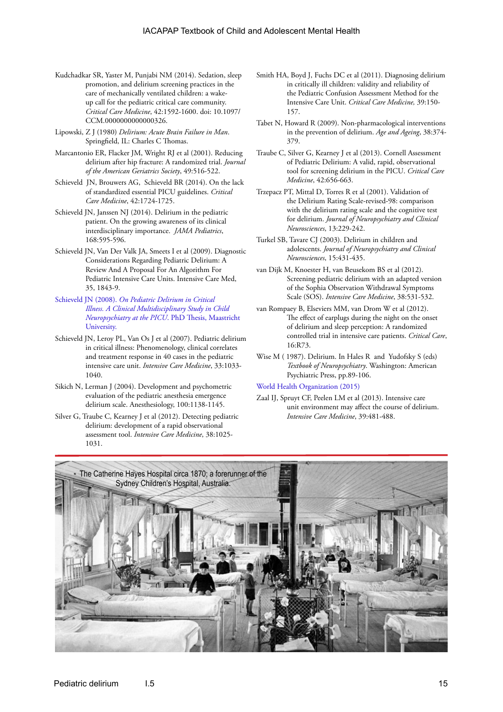- Kudchadkar SR, Yaster M, Punjabi NM (2014). Sedation, sleep promotion, and delirium screening practices in the care of mechanically ventilated children: a wakeup call for the pediatric critical care community. *Critical Care Medicine*, 42:1592-1600. doi: 10.1097/ CCM.0000000000000326.
- Lipowski, Z J (1980) *Delirium: Acute Brain Failure in Man*. Springfield, IL: Charles C Thomas.
- Marcantonio ER, Flacker JM, Wright RJ et al (2001). Reducing delirium after hip fracture: A randomized trial. *Journal of the American Geriatrics Society*, 49:516-522.
- Schieveld JN, Brouwers AG, Schieveld BR (2014). On the lack of standardized essential PICU guidelines. *Critical Care Medicine*, 42:1724-1725.
- Schieveld JN, Janssen NJ (2014). Delirium in the pediatric patient. On the growing awareness of its clinical interdisciplinary importance. *JAMA Pediatrics*, 168:595-596.
- Schieveld JN, Van Der Valk JA, Smeets I et al (2009). Diagnostic Considerations Regarding Pediatric Delirium: A Review And A Proposal For An Algorithm For Pediatric Intensive Care Units. Intensive Care Med, 35, 1843-9.
- Schieveld JN (2008). *[On Pediatric Delirium in Critical](http://pub.maastrichtuniversity.nl/3ccfc50f-f779-47c5-85b6-93b9bd09560e)  [Illness. A Clinical Multidisciplinary Study in Child](http://pub.maastrichtuniversity.nl/3ccfc50f-f779-47c5-85b6-93b9bd09560e)  [Neuropsychiatry at the PICU](http://pub.maastrichtuniversity.nl/3ccfc50f-f779-47c5-85b6-93b9bd09560e)*. PhD Thesis, Maastricht [University.](http://pub.maastrichtuniversity.nl/3ccfc50f-f779-47c5-85b6-93b9bd09560e)
- Schieveld JN, Leroy PL, Van Os J et al (2007). Pediatric delirium in critical illness: Phenomenology, clinical correlates and treatment response in 40 cases in the pediatric intensive care unit. *Intensive Care Medicine*, 33:1033- 1040.
- Sikich N, Lerman J (2004). Development and psychometric evaluation of the pediatric anesthesia emergence delirium scale. Anesthesiology, 100:1138-1145.
- Silver G, Traube C, Kearney J et al (2012). Detecting pediatric delirium: development of a rapid observational assessment tool. *Intensive Care Medicine*, 38:1025- 1031.
- Smith HA, Boyd J, Fuchs DC et al (2011). Diagnosing delirium in critically ill children: validity and reliability of the Pediatric Confusion Assessment Method for the Intensive Care Unit. *Critical Care Medicine,* 39:150- 157.
- Tabet N, Howard R (2009). Non-pharmacological interventions in the prevention of delirium. *Age and Ageing*, 38:374- 379.
- Traube C, Silver G, Kearney J et al (2013). Cornell Assessment of Pediatric Delirium: A valid, rapid, observational tool for screening delirium in the PICU. *Critical Care Medicine*, 42:656-663.
- Trzepacz PT, Mittal D, Torres R et al (2001). Validation of the Delirium Rating Scale-revised-98: comparison with the delirium rating scale and the cognitive test for delirium. *Journal of Neuropsychiatry and Clinical Neurosciences*, 13:229-242.
- Turkel SB, Tavare CJ (2003). Delirium in children and adolescents. *Journal of Neuropsychiatry and Clinical Neurosciences*, 15:431-435.
- van Dijk M, Knoester H, van Beusekom BS et al (2012). Screening pediatric delirium with an adapted version of the Sophia Observation Withdrawal Symptoms Scale (SOS). *Intensive Care Medicine*, 38:531-532.
- van Rompaey B, Elseviers MM, van Drom W et al (2012). The effect of earplugs during the night on the onset of delirium and sleep perception: A randomized controlled trial in intensive care patients. *Critical Care*, 16:R73.
- Wise M ( 1987). Delirium. In Hales R and Yudofsky S (eds) *Textbook of Neuropsychiatry*. Washington: American Psychiatric Press, pp.89-106.

#### [World Health Organization \(2015\)](http://apps.who.int/classifications/icd10/browse/2015/en#/F00-F09)

Zaal IJ, Spruyt CF, Peelen LM et al (2013). Intensive care unit environment may affect the course of delirium. *Intensive Care Medicine*, 39:481-488.

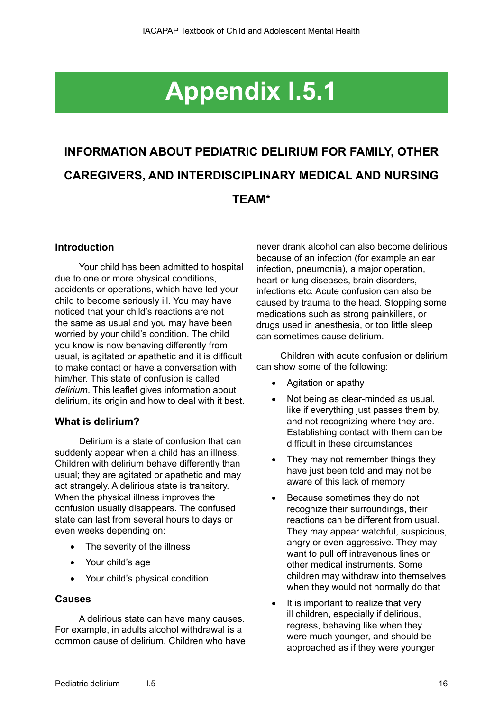# **Appendix I.5.1**

# **INFORMATION ABOUT PEDIATRIC DELIRIUM FOR FAMILY, OTHER CAREGIVERS, AND INTERDISCIPLINARY MEDICAL AND NURSING TEAM\***

# **Introduction**

Your child has been admitted to hospital due to one or more physical conditions, accidents or operations, which have led your child to become seriously ill. You may have noticed that your child's reactions are not the same as usual and you may have been worried by your child's condition. The child you know is now behaving differently from usual, is agitated or apathetic and it is difficult to make contact or have a conversation with him/her. This state of confusion is called *delirium*. This leaflet gives information about delirium, its origin and how to deal with it best.

## **What is delirium?**

Delirium is a state of confusion that can suddenly appear when a child has an illness. Children with delirium behave differently than usual; they are agitated or apathetic and may act strangely. A delirious state is transitory. When the physical illness improves the confusion usually disappears. The confused state can last from several hours to days or even weeks depending on:

- The severity of the illness
- Your child's age
- Your child's physical condition.

#### **Causes**

A delirious state can have many causes. For example, in adults alcohol withdrawal is a common cause of delirium. Children who have never drank alcohol can also become delirious because of an infection (for example an ear infection, pneumonia), a major operation, heart or lung diseases, brain disorders, infections etc. Acute confusion can also be caused by trauma to the head. Stopping some medications such as strong painkillers, or drugs used in anesthesia, or too little sleep can sometimes cause delirium.

Children with acute confusion or delirium can show some of the following:

- • Agitation or apathy
- Not being as clear-minded as usual, like if everything just passes them by, and not recognizing where they are. Establishing contact with them can be difficult in these circumstances
- They may not remember things they have just been told and may not be aware of this lack of memory
- Because sometimes they do not recognize their surroundings, their reactions can be different from usual. They may appear watchful, suspicious, angry or even aggressive. They may want to pull off intravenous lines or other medical instruments. Some children may withdraw into themselves when they would not normally do that
- It is important to realize that very ill children, especially if delirious, regress, behaving like when they were much younger, and should be approached as if they were younger